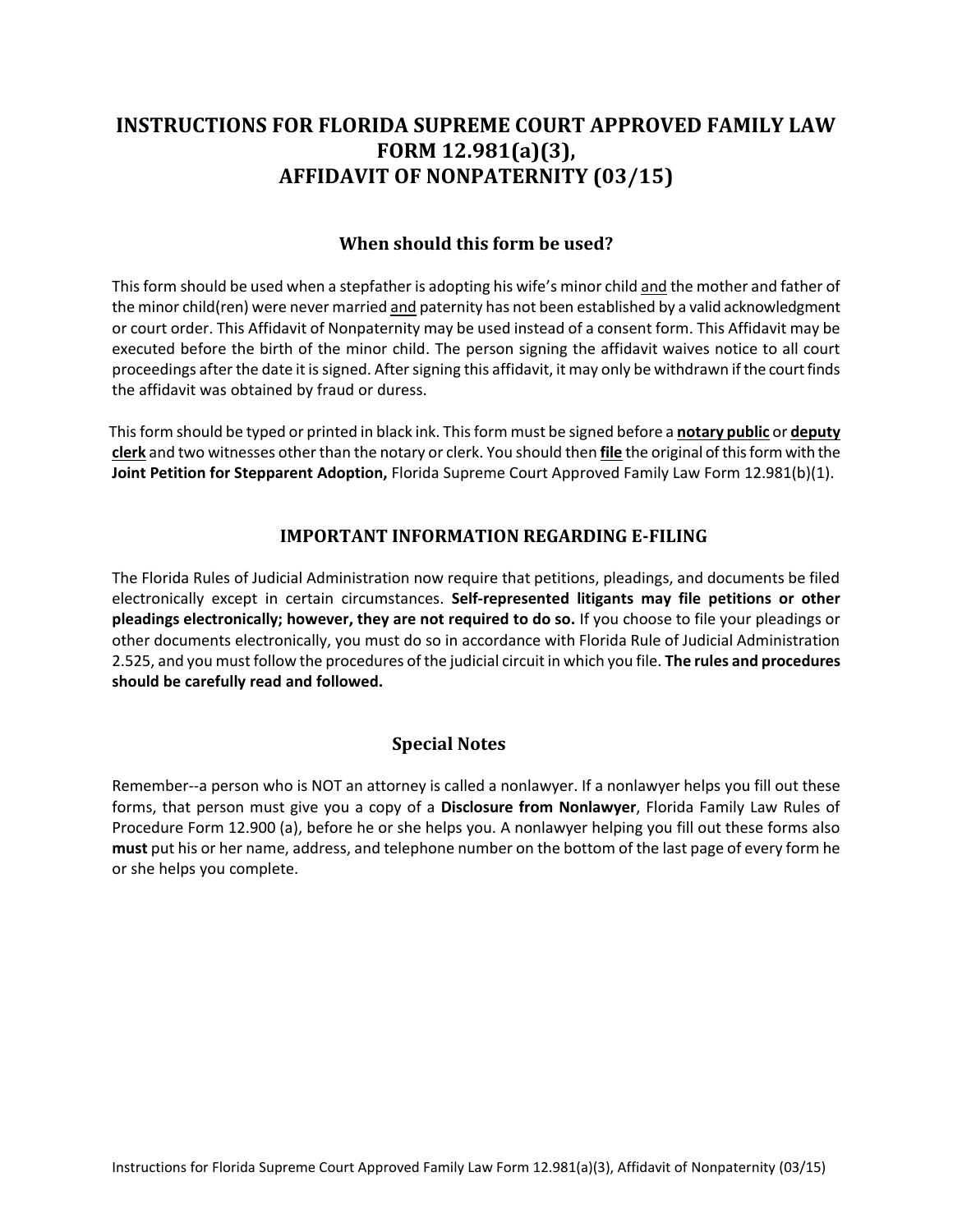# **INSTRUCTIONS FOR FLORIDA SUPREME COURT APPROVED FAMILY LAW FORM 12.981(a)(3), AFFIDAVIT OF NONPATERNITY (03/15)**

### **When should this form be used?**

This form should be used when a stepfather is adopting his wife's minor child <u>and</u> the mother and father of the minor child(ren) were never married <u>and</u> paternity has not been established by a valid acknowledgment or court order. This Affidavit of Nonpaternity may be used instead of a consent form. This Affidavit may be executed before the birth of the minor child. The person signing the affidavit waives notice to all court proceedings after the date it is signed. After signing this affidavit, it may only be withdrawn if the court finds the affidavit was obtained by fraud or duress.

 This form should be typed or printed in black ink. This form must be signed before a **notary public** or **deputy clerk** and two witnesses other than the notary or clerk. You should then **file** the original of this form with the  **Joint Petition for Stepparent Adoption,** Florida Supreme Court Approved Family Law Form 12.981(b)(1).

#### **IMPORTANT INFORMATION REGARDING E-FILING**

 The Florida Rules of Judicial Administration now require that petitions, pleadings, and documents be filed electronically except in certain circumstances. **Self-represented litigants may file petitions or other pleadings electronically; however, they are not required to do so.** If you choose to file your pleadings or other documents electronically, you must do so in accordance with Florida Rule of Judicial Administration 2.525, and you must follow the procedures of the judicial circuit in which you file. **The rules and procedures should be carefully read and followed.** 

## **Special Notes**

 Remember--a person who is NOT an attorney is called a nonlawyer. If a nonlawyer helps you fill out these forms, that person must give you a copy of a **Disclosure from Nonlawyer**, Florida Family Law Rules of Procedure Form 12.900 (a), before he or she helps you. A nonlawyer helping you fill out these forms also **must** put his or her name, address, and telephone number on the bottom of the last page of every form he or she helps you complete.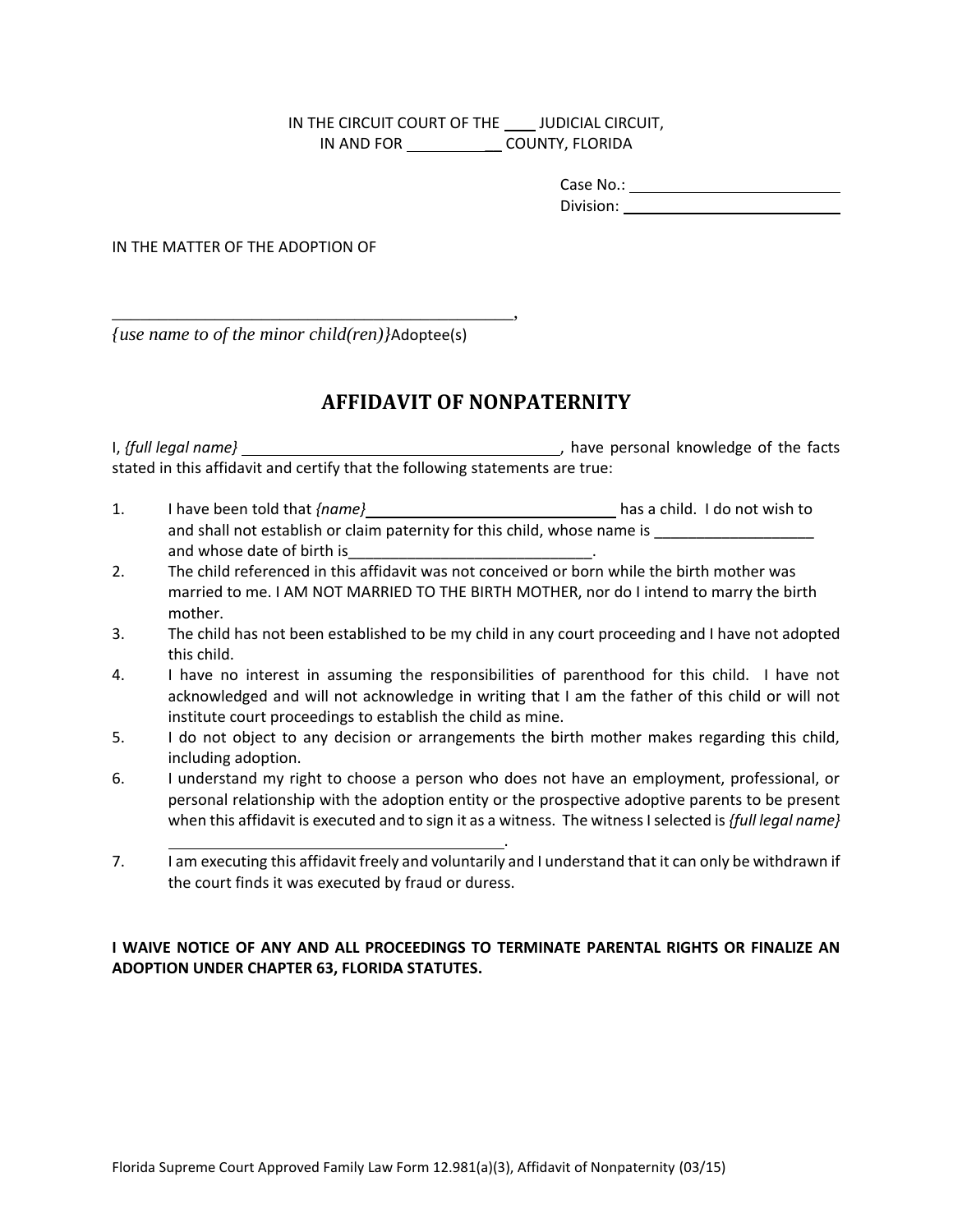IN THE CIRCUIT COURT OF THE **INGLE COUPLAL CIRCUIT**, IN AND FOR \_\_ COUNTY, FLORIDA

| Case No.: |  |
|-----------|--|
| Division: |  |

Division: IN THE MATTER OF THE ADOPTION OF

*{use name to of the minor child(ren)}*Adoptee(s)

\_\_\_\_\_\_\_\_\_\_\_\_\_\_\_\_\_\_\_\_\_\_\_\_\_\_\_\_\_\_\_\_\_\_\_\_\_\_\_\_\_\_\_,

## **AFFIDAVIT OF NONPATERNITY**

I, {full legal name} stated in this affidavit and certify that the following statements are true: I, have personal knowledge of the facts

- 1. I have been told that *{name}* has a child. I do not wish to and shall not establish or claim paternity for this child, whose name is \_\_\_\_\_\_\_\_\_\_\_\_\_\_\_\_\_\_\_\_\_\_\_\_\_\_ and whose date of birth is\_\_\_\_\_\_\_\_\_\_\_\_\_\_\_\_\_\_\_\_\_\_\_\_\_\_\_\_\_\_\_\_\_\_.
- 2. The child referenced in this affidavit was not conceived or born while the birth mother was married to me. I AM NOT MARRIED TO THE BIRTH MOTHER, nor do I intend to marry the birth mother.
- 3. The child has not been established to be my child in any court proceeding and I have not adopted this child.
- 4. I have no interest in assuming the responsibilities of parenthood for this child. I have not acknowledged and will not acknowledge in writing that I am the father of this child or will not institute court proceedings to establish the child as mine.
- 5. I do not object to any decision or arrangements the birth mother makes regarding this child, including adoption.
- 6. I understand my right to choose a person who does not have an employment, professional, or personal relationship with the adoption entity or the prospective adoptive parents to be present when this affidavit is executed and to sign it as a witness. The witness I selected is *{full legal name}*
- L  $7<sub>1</sub>$  the court finds it was executed by fraud or duress. . I am executing this affidavit freely and voluntarily and I understand that it can only be withdrawn if

#### **I WAIVE NOTICE OF ANY AND ALL PROCEEDINGS TO TERMINATE PARENTAL RIGHTS OR FINALIZE AN ADOPTION UNDER CHAPTER 63, FLORIDA STATUTES.**